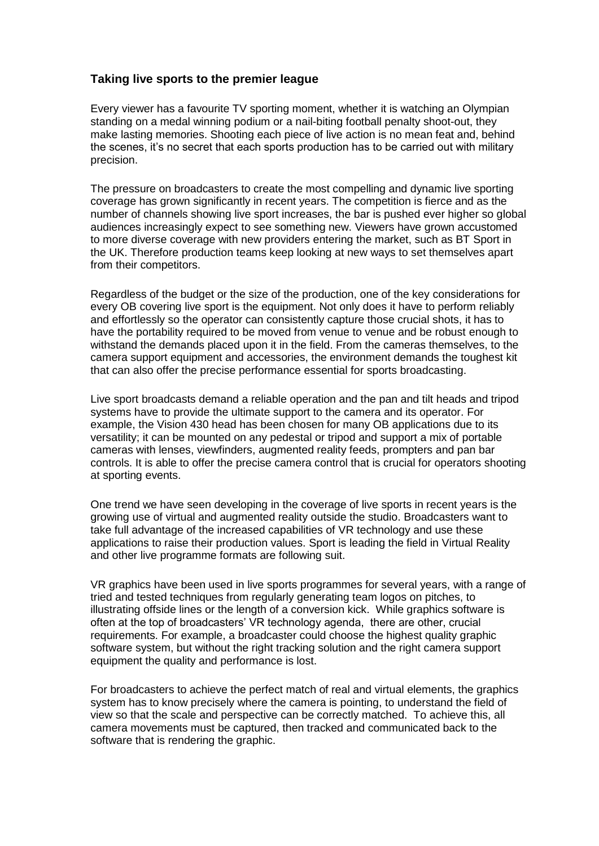## **Taking live sports to the premier league**

Every viewer has a favourite TV sporting moment, whether it is watching an Olympian standing on a medal winning podium or a nail-biting football penalty shoot-out, they make lasting memories. Shooting each piece of live action is no mean feat and, behind the scenes, it's no secret that each sports production has to be carried out with military precision.

The pressure on broadcasters to create the most compelling and dynamic live sporting coverage has grown significantly in recent years. The competition is fierce and as the number of channels showing live sport increases, the bar is pushed ever higher so global audiences increasingly expect to see something new. Viewers have grown accustomed to more diverse coverage with new providers entering the market, such as BT Sport in the UK. Therefore production teams keep looking at new ways to set themselves apart from their competitors.

Regardless of the budget or the size of the production, one of the key considerations for every OB covering live sport is the equipment. Not only does it have to perform reliably and effortlessly so the operator can consistently capture those crucial shots, it has to have the portability required to be moved from venue to venue and be robust enough to withstand the demands placed upon it in the field. From the cameras themselves, to the camera support equipment and accessories, the environment demands the toughest kit that can also offer the precise performance essential for sports broadcasting.

Live sport broadcasts demand a reliable operation and the pan and tilt heads and tripod systems have to provide the ultimate support to the camera and its operator. For example, the Vision 430 head has been chosen for many OB applications due to its versatility; it can be mounted on any pedestal or tripod and support a mix of portable cameras with lenses, viewfinders, augmented reality feeds, prompters and pan bar controls. It is able to offer the precise camera control that is crucial for operators shooting at sporting events.

One trend we have seen developing in the coverage of live sports in recent years is the growing use of virtual and augmented reality outside the studio. Broadcasters want to take full advantage of the increased capabilities of VR technology and use these applications to raise their production values. Sport is leading the field in Virtual Reality and other live programme formats are following suit.

VR graphics have been used in live sports programmes for several years, with a range of tried and tested techniques from regularly generating team logos on pitches, to illustrating offside lines or the length of a conversion kick. While graphics software is often at the top of broadcasters' VR technology agenda, there are other, crucial requirements. For example, a broadcaster could choose the highest quality graphic software system, but without the right tracking solution and the right camera support equipment the quality and performance is lost.

For broadcasters to achieve the perfect match of real and virtual elements, the graphics system has to know precisely where the camera is pointing, to understand the field of view so that the scale and perspective can be correctly matched. To achieve this, all camera movements must be captured, then tracked and communicated back to the software that is rendering the graphic.